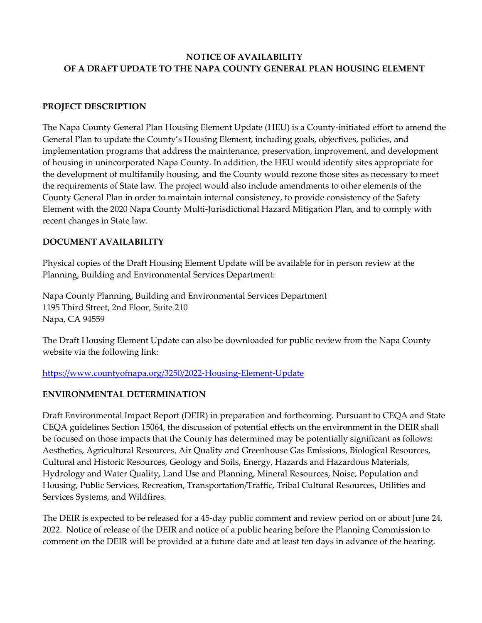# **NOTICE OF AVAILABILITY OF A DRAFT UPDATE TO THE NAPA COUNTY GENERAL PLAN HOUSING ELEMENT**

## **PROJECT DESCRIPTION**

The Napa County General Plan Housing Element Update (HEU) is a County-initiated effort to amend the General Plan to update the County's Housing Element, including goals, objectives, policies, and implementation programs that address the maintenance, preservation, improvement, and development of housing in unincorporated Napa County. In addition, the HEU would identify sites appropriate for the development of multifamily housing, and the County would rezone those sites as necessary to meet the requirements of State law. The project would also include amendments to other elements of the County General Plan in order to maintain internal consistency, to provide consistency of the Safety Element with the 2020 Napa County Multi-Jurisdictional Hazard Mitigation Plan, and to comply with recent changes in State law.

# **DOCUMENT AVAILABILITY**

Physical copies of the Draft Housing Element Update will be available for in person review at the Planning, Building and Environmental Services Department:

Napa County Planning, Building and Environmental Services Department 1195 Third Street, 2nd Floor, Suite 210 Napa, CA 94559

The Draft Housing Element Update can also be downloaded for public review from the Napa County website via the following link:

<https://www.countyofnapa.org/3250/2022-Housing-Element-Update>

### **ENVIRONMENTAL DETERMINATION**

Draft Environmental Impact Report (DEIR) in preparation and forthcoming. Pursuant to CEQA and State CEQA guidelines Section 15064, the discussion of potential effects on the environment in the DEIR shall be focused on those impacts that the County has determined may be potentially significant as follows: Aesthetics, Agricultural Resources, Air Quality and Greenhouse Gas Emissions, Biological Resources, Cultural and Historic Resources, Geology and Soils, Energy, Hazards and Hazardous Materials, Hydrology and Water Quality, Land Use and Planning, Mineral Resources, Noise, Population and Housing, Public Services, Recreation, Transportation/Traffic, Tribal Cultural Resources, Utilities and Services Systems, and Wildfires.

The DEIR is expected to be released for a 45-day public comment and review period on or about June 24, 2022. Notice of release of the DEIR and notice of a public hearing before the Planning Commission to comment on the DEIR will be provided at a future date and at least ten days in advance of the hearing.